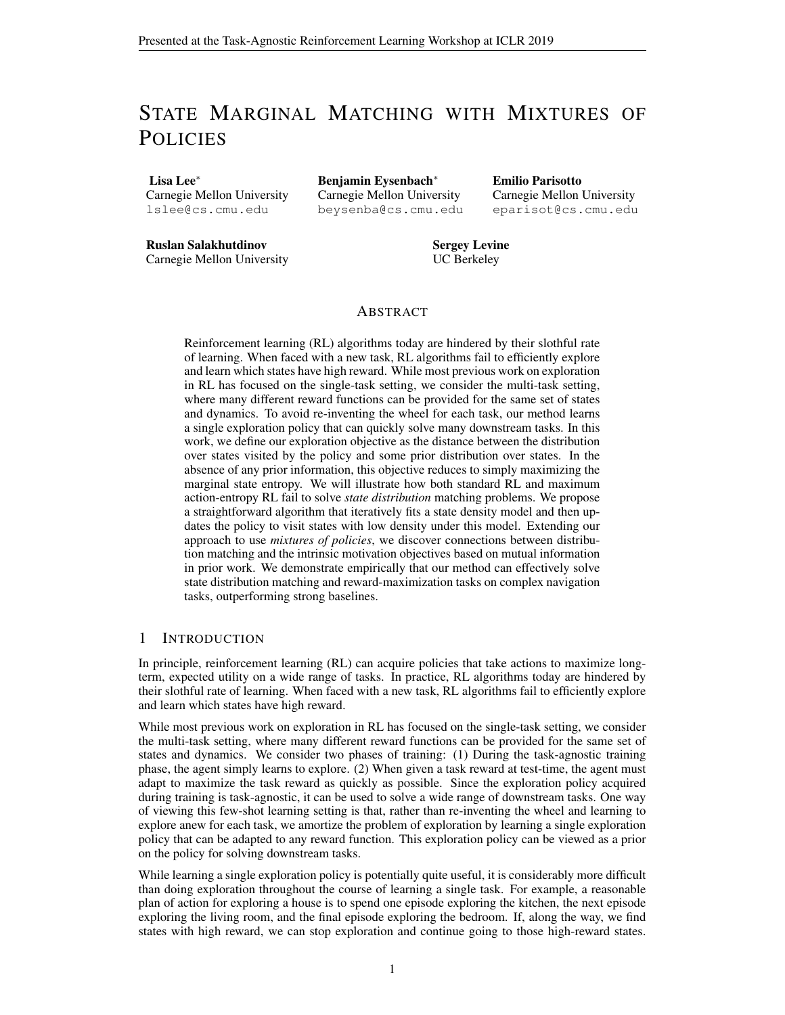# STATE MARGINAL MATCHING WITH MIXTURES OF **POLICIES**

Lisa Lee<sup>∗</sup> Carnegie Mellon University lslee@cs.cmu.edu

Benjamin Eysenbach<sup>∗</sup> Carnegie Mellon University beysenba@cs.cmu.edu Emilio Parisotto Carnegie Mellon University eparisot@cs.cmu.edu

Ruslan Salakhutdinov Carnegie Mellon University Sergey Levine UC Berkeley

# ABSTRACT

Reinforcement learning (RL) algorithms today are hindered by their slothful rate of learning. When faced with a new task, RL algorithms fail to efficiently explore and learn which states have high reward. While most previous work on exploration in RL has focused on the single-task setting, we consider the multi-task setting, where many different reward functions can be provided for the same set of states and dynamics. To avoid re-inventing the wheel for each task, our method learns a single exploration policy that can quickly solve many downstream tasks. In this work, we define our exploration objective as the distance between the distribution over states visited by the policy and some prior distribution over states. In the absence of any prior information, this objective reduces to simply maximizing the marginal state entropy. We will illustrate how both standard RL and maximum action-entropy RL fail to solve *state distribution* matching problems. We propose a straightforward algorithm that iteratively fits a state density model and then updates the policy to visit states with low density under this model. Extending our approach to use *mixtures of policies*, we discover connections between distribution matching and the intrinsic motivation objectives based on mutual information in prior work. We demonstrate empirically that our method can effectively solve state distribution matching and reward-maximization tasks on complex navigation tasks, outperforming strong baselines.

## 1 INTRODUCTION

In principle, reinforcement learning (RL) can acquire policies that take actions to maximize longterm, expected utility on a wide range of tasks. In practice, RL algorithms today are hindered by their slothful rate of learning. When faced with a new task, RL algorithms fail to efficiently explore and learn which states have high reward.

While most previous work on exploration in RL has focused on the single-task setting, we consider the multi-task setting, where many different reward functions can be provided for the same set of states and dynamics. We consider two phases of training: (1) During the task-agnostic training phase, the agent simply learns to explore. (2) When given a task reward at test-time, the agent must adapt to maximize the task reward as quickly as possible. Since the exploration policy acquired during training is task-agnostic, it can be used to solve a wide range of downstream tasks. One way of viewing this few-shot learning setting is that, rather than re-inventing the wheel and learning to explore anew for each task, we amortize the problem of exploration by learning a single exploration policy that can be adapted to any reward function. This exploration policy can be viewed as a prior on the policy for solving downstream tasks.

While learning a single exploration policy is potentially quite useful, it is considerably more difficult than doing exploration throughout the course of learning a single task. For example, a reasonable plan of action for exploring a house is to spend one episode exploring the kitchen, the next episode exploring the living room, and the final episode exploring the bedroom. If, along the way, we find states with high reward, we can stop exploration and continue going to those high-reward states.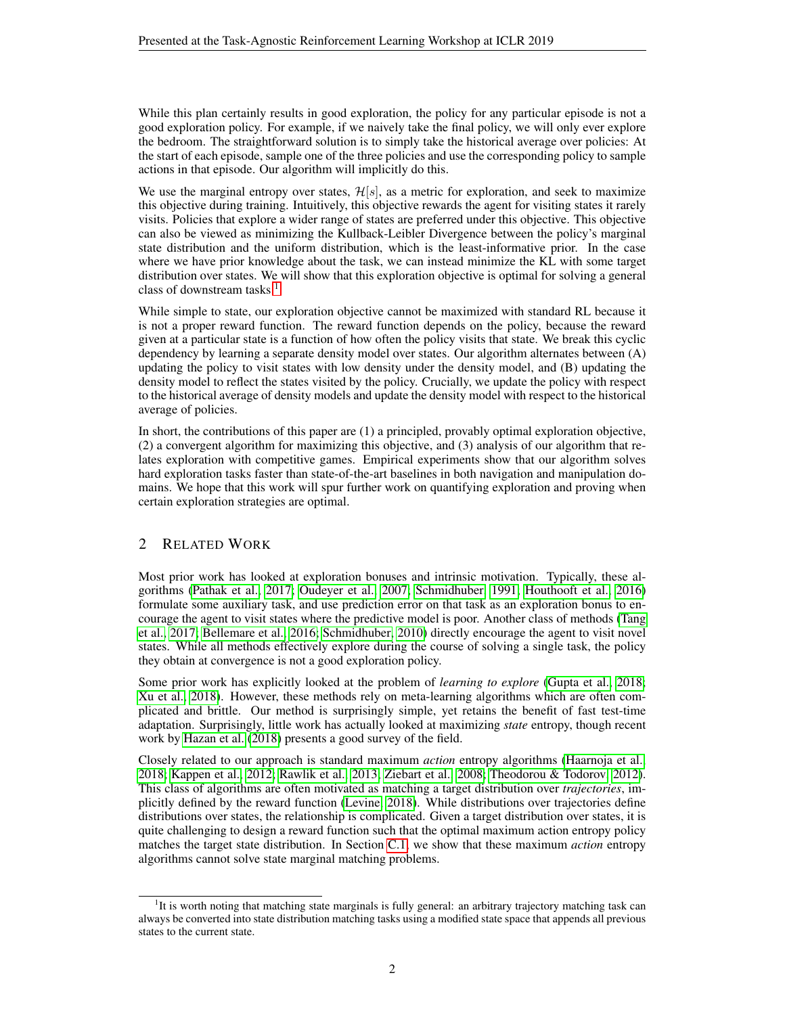While this plan certainly results in good exploration, the policy for any particular episode is not a good exploration policy. For example, if we naively take the final policy, we will only ever explore the bedroom. The straightforward solution is to simply take the historical average over policies: At the start of each episode, sample one of the three policies and use the corresponding policy to sample actions in that episode. Our algorithm will implicitly do this.

We use the marginal entropy over states,  $\mathcal{H}[s]$ , as a metric for exploration, and seek to maximize this objective during training. Intuitively, this objective rewards the agent for visiting states it rarely visits. Policies that explore a wider range of states are preferred under this objective. This objective can also be viewed as minimizing the Kullback-Leibler Divergence between the policy's marginal state distribution and the uniform distribution, which is the least-informative prior. In the case where we have prior knowledge about the task, we can instead minimize the KL with some target distribution over states. We will show that this exploration objective is optimal for solving a general class of downstream tasks.<sup>[1](#page-1-0)</sup>

While simple to state, our exploration objective cannot be maximized with standard RL because it is not a proper reward function. The reward function depends on the policy, because the reward given at a particular state is a function of how often the policy visits that state. We break this cyclic dependency by learning a separate density model over states. Our algorithm alternates between (A) updating the policy to visit states with low density under the density model, and (B) updating the density model to reflect the states visited by the policy. Crucially, we update the policy with respect to the historical average of density models and update the density model with respect to the historical average of policies.

In short, the contributions of this paper are (1) a principled, provably optimal exploration objective, (2) a convergent algorithm for maximizing this objective, and (3) analysis of our algorithm that relates exploration with competitive games. Empirical experiments show that our algorithm solves hard exploration tasks faster than state-of-the-art baselines in both navigation and manipulation domains. We hope that this work will spur further work on quantifying exploration and proving when certain exploration strategies are optimal.

# 2 RELATED WORK

Most prior work has looked at exploration bonuses and intrinsic motivation. Typically, these algorithms [\(Pathak et al., 2017;](#page-6-0) [Oudeyer et al., 2007;](#page-6-1) [Schmidhuber, 1991;](#page-6-2) [Houthooft et al., 2016\)](#page-5-0) formulate some auxiliary task, and use prediction error on that task as an exploration bonus to encourage the agent to visit states where the predictive model is poor. Another class of methods [\(Tang](#page-6-3) [et al., 2017;](#page-6-3) [Bellemare et al., 2016;](#page-5-1) [Schmidhuber, 2010\)](#page-6-4) directly encourage the agent to visit novel states. While all methods effectively explore during the course of solving a single task, the policy they obtain at convergence is not a good exploration policy.

Some prior work has explicitly looked at the problem of *learning to explore* [\(Gupta et al., 2018;](#page-5-2) [Xu et al., 2018\)](#page-6-5). However, these methods rely on meta-learning algorithms which are often complicated and brittle. Our method is surprisingly simple, yet retains the benefit of fast test-time adaptation. Surprisingly, little work has actually looked at maximizing *state* entropy, though recent work by [Hazan et al.](#page-5-3) [\(2018\)](#page-5-3) presents a good survey of the field.

Closely related to our approach is standard maximum *action* entropy algorithms [\(Haarnoja et al.,](#page-5-4) [2018;](#page-5-4) [Kappen et al., 2012;](#page-5-5) [Rawlik et al., 2013;](#page-6-6) [Ziebart et al., 2008;](#page-6-7) [Theodorou & Todorov, 2012\)](#page-6-8). This class of algorithms are often motivated as matching a target distribution over *trajectories*, implicitly defined by the reward function [\(Levine, 2018\)](#page-5-6). While distributions over trajectories define distributions over states, the relationship is complicated. Given a target distribution over states, it is quite challenging to design a reward function such that the optimal maximum action entropy policy matches the target state distribution. In Section [C.1,](#page-8-0) we show that these maximum *action* entropy algorithms cannot solve state marginal matching problems.

<span id="page-1-0"></span><sup>&</sup>lt;sup>1</sup>It is worth noting that matching state marginals is fully general: an arbitrary trajectory matching task can always be converted into state distribution matching tasks using a modified state space that appends all previous states to the current state.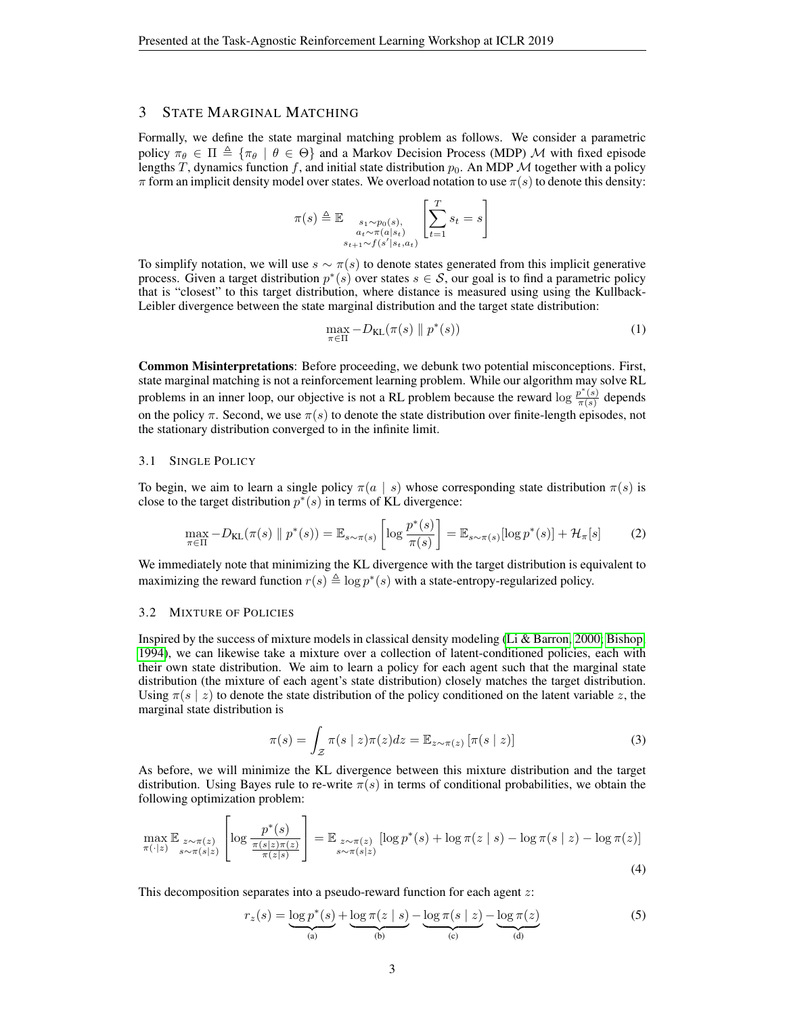## 3 STATE MARGINAL MATCHING

Formally, we define the state marginal matching problem as follows. We consider a parametric policy  $\pi_{\theta} \in \Pi \triangleq \{\pi_{\theta} \mid \theta \in \Theta\}$  and a Markov Decision Process (MDP) M with fixed episode lengths T, dynamics function f, and initial state distribution  $p_0$ . An MDP M together with a policy  $\pi$  form an implicit density model over states. We overload notation to use  $\pi(s)$  to denote this density:

$$
\pi(s) \triangleq \mathbb{E} \underset{\substack{s_1 \sim p_0(s), \\ s_{t+1} \sim f(s'|s_t, a_t)}}{\mathbb{E} \left[ \sum_{t=1}^T s_t = s \right]}
$$

To simplify notation, we will use  $s \sim \pi(s)$  to denote states generated from this implicit generative process. Given a target distribution  $p^*(s)$  over states  $s \in S$ , our goal is to find a parametric policy that is "closest" to this target distribution, where distance is measured using using the Kullback-Leibler divergence between the state marginal distribution and the target state distribution:

$$
\max_{\pi \in \Pi} -D_{\mathrm{KL}}(\pi(s) \parallel p^*(s)) \tag{1}
$$

Common Misinterpretations: Before proceeding, we debunk two potential misconceptions. First, state marginal matching is not a reinforcement learning problem. While our algorithm may solve RL problems in an inner loop, our objective is not a RL problem because the reward  $\log \frac{p^*(s)}{\pi(s)}$  $\frac{\partial (s)}{\partial \pi(s)}$  depends on the policy  $\pi$ . Second, we use  $\pi(s)$  to denote the state distribution over finite-length episodes, not the stationary distribution converged to in the infinite limit.

## 3.1 SINGLE POLICY

To begin, we aim to learn a single policy  $\pi(a \mid s)$  whose corresponding state distribution  $\pi(s)$  is close to the target distribution  $p^*(s)$  in terms of KL divergence:

<span id="page-2-1"></span>
$$
\max_{\pi \in \Pi} -D_{\mathrm{KL}}(\pi(s) \parallel p^*(s)) = \mathbb{E}_{s \sim \pi(s)} \left[ \log \frac{p^*(s)}{\pi(s)} \right] = \mathbb{E}_{s \sim \pi(s)} [\log p^*(s)] + \mathcal{H}_{\pi}[s] \tag{2}
$$

We immediately note that minimizing the KL divergence with the target distribution is equivalent to maximizing the reward function  $r(s) \triangleq \log p^*(s)$  with a state-entropy-regularized policy.

#### 3.2 MIXTURE OF POLICIES

Inspired by the success of mixture models in classical density modeling [\(Li & Barron, 2000;](#page-5-7) [Bishop,](#page-5-8) [1994\)](#page-5-8), we can likewise take a mixture over a collection of latent-conditioned policies, each with their own state distribution. We aim to learn a policy for each agent such that the marginal state distribution (the mixture of each agent's state distribution) closely matches the target distribution. Using  $\pi(s \mid z)$  to denote the state distribution of the policy conditioned on the latent variable z, the marginal state distribution is

<span id="page-2-0"></span>
$$
\pi(s) = \int_{\mathcal{Z}} \pi(s \mid z) \pi(z) dz = \mathbb{E}_{z \sim \pi(z)} [\pi(s \mid z)] \tag{3}
$$

As before, we will minimize the KL divergence between this mixture distribution and the target distribution. Using Bayes rule to re-write  $\pi(s)$  in terms of conditional probabilities, we obtain the following optimization problem:

$$
\max_{\pi(\cdot|z)} \mathbb{E}_{\substack{z \sim \pi(z) \\ s \sim \pi(s|z)}} \left[ \log \frac{p^*(s)}{\frac{\pi(s|z)\pi(z)}{\pi(z|s)}} \right] = \mathbb{E}_{\substack{z \sim \pi(z) \\ s \sim \pi(s|z)}} \left[ \log p^*(s) + \log \pi(z \mid s) - \log \pi(s \mid z) - \log \pi(z) \right] \tag{4}
$$

This decomposition separates into a pseudo-reward function for each agent z:

$$
r_z(s) = \underbrace{\log p^*(s)}_{\text{(a)}} + \underbrace{\log \pi(z \mid s)}_{\text{(b)}} - \underbrace{\log \pi(s \mid z)}_{\text{(c)}} - \underbrace{\log \pi(z)}_{\text{(d)}} \tag{5}
$$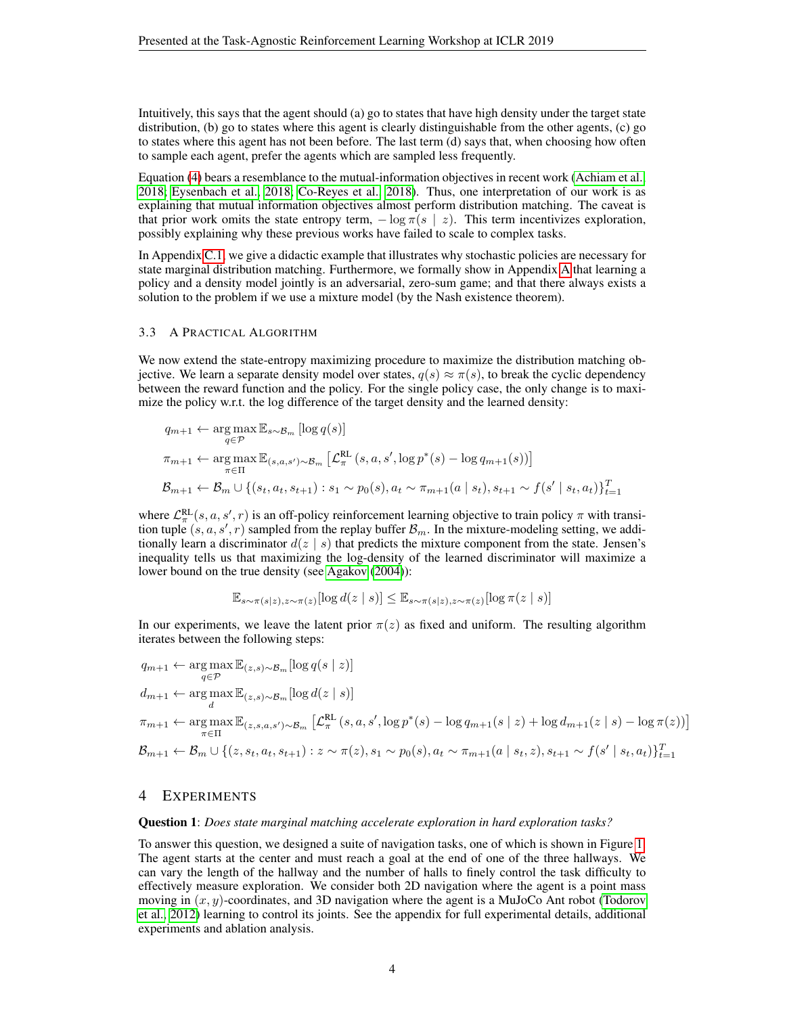Intuitively, this says that the agent should (a) go to states that have high density under the target state distribution, (b) go to states where this agent is clearly distinguishable from the other agents, (c) go to states where this agent has not been before. The last term (d) says that, when choosing how often to sample each agent, prefer the agents which are sampled less frequently.

Equation [\(4\)](#page-2-0) bears a resemblance to the mutual-information objectives in recent work [\(Achiam et al.,](#page-5-9) [2018;](#page-5-9) [Eysenbach et al., 2018;](#page-5-10) [Co-Reyes et al., 2018\)](#page-5-11). Thus, one interpretation of our work is as explaining that mutual information objectives almost perform distribution matching. The caveat is that prior work omits the state entropy term,  $-\log \pi(s \mid z)$ . This term incentivizes exploration, possibly explaining why these previous works have failed to scale to complex tasks.

In Appendix [C.1,](#page-8-0) we give a didactic example that illustrates why stochastic policies are necessary for state marginal distribution matching. Furthermore, we formally show in Appendix [A](#page-7-0) that learning a policy and a density model jointly is an adversarial, zero-sum game; and that there always exists a solution to the problem if we use a mixture model (by the Nash existence theorem).

## 3.3 A PRACTICAL ALGORITHM

We now extend the state-entropy maximizing procedure to maximize the distribution matching objective. We learn a separate density model over states,  $q(s) \approx \pi(s)$ , to break the cyclic dependency between the reward function and the policy. For the single policy case, the only change is to maximize the policy w.r.t. the log difference of the target density and the learned density:

$$
q_{m+1} \leftarrow \underset{q \in \mathcal{P}}{\arg \max} \mathbb{E}_{s \sim \mathcal{B}_m} [\log q(s)]
$$
  

$$
\pi_{m+1} \leftarrow \underset{\pi \in \Pi}{\arg \max} \mathbb{E}_{(s, a, s') \sim \mathcal{B}_m} [\mathcal{L}_{\pi}^{\text{RL}}(s, a, s', \log p^*(s) - \log q_{m+1}(s))] \mathcal{B}_{m+1} \leftarrow \mathcal{B}_m \cup \{(s_t, a_t, s_{t+1}) : s_1 \sim p_0(s), a_t \sim \pi_{m+1}(a \mid s_t), s_{t+1} \sim f(s' \mid s_t, a_t)\}_{t=1}^T
$$

where  $\mathcal{L}_{\pi}^{RL}(s, a, s', r)$  is an off-policy reinforcement learning objective to train policy  $\pi$  with transition tuple  $(s, a, s', r)$  sampled from the replay buffer  $\mathcal{B}_m$ . In the mixture-modeling setting, we additionally learn a discriminator  $d(z \mid s)$  that predicts the mixture component from the state. Jensen's inequality tells us that maximizing the log-density of the learned discriminator will maximize a lower bound on the true density (see [Agakov](#page-5-12) [\(2004\)](#page-5-12)):

$$
\mathbb{E}_{s \sim \pi(s|z), z \sim \pi(z)}[\log d(z \mid s)] \leq \mathbb{E}_{s \sim \pi(s|z), z \sim \pi(z)}[\log \pi(z \mid s)]
$$

In our experiments, we leave the latent prior  $\pi(z)$  as fixed and uniform. The resulting algorithm iterates between the following steps:

$$
q_{m+1} \leftarrow \underset{q \in \mathcal{P}}{\arg \max} \mathbb{E}_{(z,s) \sim \mathcal{B}_m} [\log q(s \mid z)]
$$
  
\n
$$
d_{m+1} \leftarrow \underset{d}{\arg \max} \mathbb{E}_{(z,s) \sim \mathcal{B}_m} [\log d(z \mid s)]
$$
  
\n
$$
\pi_{m+1} \leftarrow \underset{\pi \in \Pi}{\arg \max} \mathbb{E}_{(z,s,a,s') \sim \mathcal{B}_m} \left[ \mathcal{L}_{\pi}^{\text{RL}}(s, a, s', \log p^*(s) - \log q_{m+1}(s \mid z) + \log d_{m+1}(z \mid s) - \log \pi(z)) \right]
$$
  
\n
$$
\mathcal{B}_{m+1} \leftarrow \mathcal{B}_m \cup \{ (z, s_t, a_t, s_{t+1}) : z \sim \pi(z), s_1 \sim p_0(s), a_t \sim \pi_{m+1}(a \mid s_t, z), s_{t+1} \sim f(s' \mid s_t, a_t) \}_{t=1}^T
$$

## <span id="page-3-0"></span>4 EXPERIMENTS

#### Question 1: *Does state marginal matching accelerate exploration in hard exploration tasks?*

To answer this question, we designed a suite of navigation tasks, one of which is shown in Figure [1.](#page-4-0) The agent starts at the center and must reach a goal at the end of one of the three hallways. We can vary the length of the hallway and the number of halls to finely control the task difficulty to effectively measure exploration. We consider both 2D navigation where the agent is a point mass moving in  $(x, y)$ -coordinates, and 3D navigation where the agent is a MuJoCo Ant robot [\(Todorov](#page-6-9) [et al., 2012\)](#page-6-9) learning to control its joints. See the appendix for full experimental details, additional experiments and ablation analysis.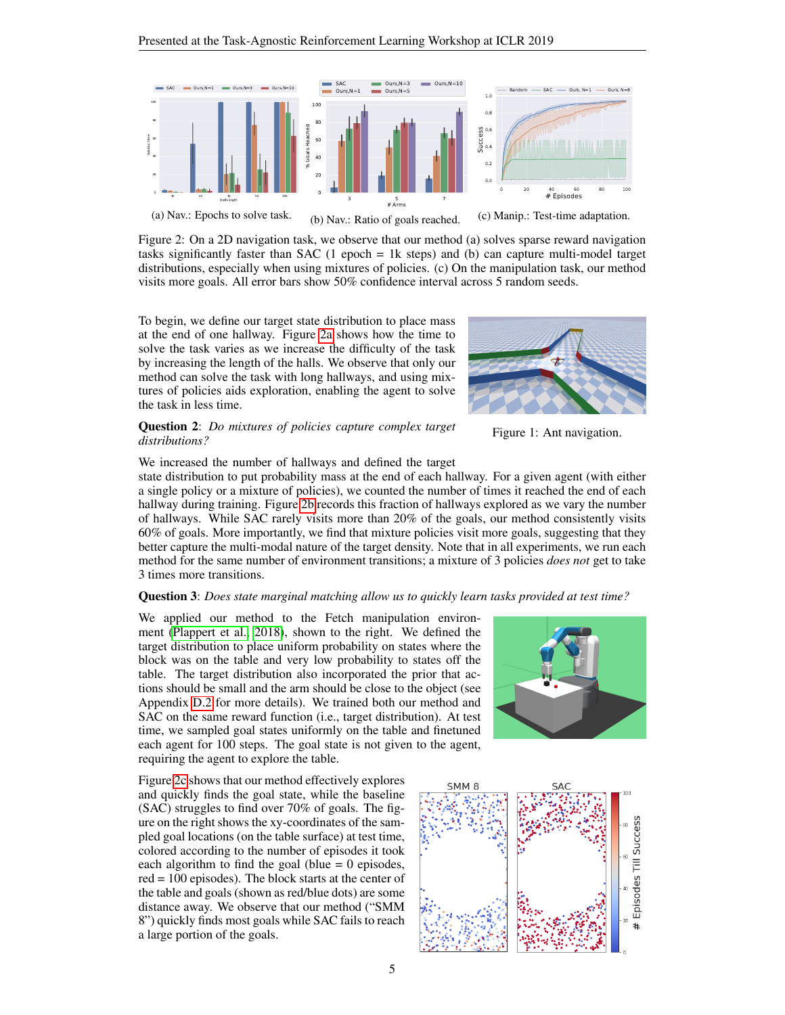<span id="page-4-1"></span>

Figure 2: On a 2D navigation task, we observe that our method (a) solves sparse reward navigation tasks significantly faster than SAC (1 epoch = 1k steps) and (b) can capture multi-model target distributions, especially when using mixtures of policies. (c) On the manipulation task, our method visits more goals. All error bars show 50% confidence interval across 5 random seeds.

To begin, we define our target state distribution to place mass at the end of one hallway. Figure [2a](#page-4-1) shows how the time to solve the task varies as we increase the difficulty of the task by increasing the length of the halls. We observe that only our method can solve the task with long hallways, and using mixtures of policies aids exploration, enabling the agent to solve the task in less time.

## Question 2: *Do mixtures of policies capture complex target distributions?*

<span id="page-4-0"></span>

Figure 1: Ant navigation.

We increased the number of hallways and defined the target

state distribution to put probability mass at the end of each hallway. For a given agent (with either a single policy or a mixture of policies), we counted the number of times it reached the end of each hallway during training. Figure [2b](#page-4-1) records this fraction of hallways explored as we vary the number of hallways. While SAC rarely visits more than 20% of the goals, our method consistently visits 60% of goals. More importantly, we find that mixture policies visit more goals, suggesting that they better capture the multi-modal nature of the target density. Note that in all experiments, we run each method for the same number of environment transitions; a mixture of 3 policies *does not* get to take 3 times more transitions.

## Question 3: *Does state marginal matching allow us to quickly learn tasks provided at test time?*

We applied our method to the Fetch manipulation environment [\(Plappert et al., 2018\)](#page-6-10), shown to the right. We defined the target distribution to place uniform probability on states where the block was on the table and very low probability to states off the table. The target distribution also incorporated the prior that actions should be small and the arm should be close to the object (see Appendix [D.2](#page-10-0) for more details). We trained both our method and SAC on the same reward function (i.e., target distribution). At test time, we sampled goal states uniformly on the table and finetuned each agent for 100 steps. The goal state is not given to the agent, requiring the agent to explore the table.

Figure [2c](#page-4-1) shows that our method effectively explores and quickly finds the goal state, while the baseline (SAC) struggles to find over 70% of goals. The figure on the right shows the xy-coordinates of the sampled goal locations (on the table surface) at test time, colored according to the number of episodes it took each algorithm to find the goal (blue  $= 0$  episodes, red = 100 episodes). The block starts at the center of the table and goals (shown as red/blue dots) are some distance away. We observe that our method ("SMM 8") quickly finds most goals while SAC fails to reach a large portion of the goals.



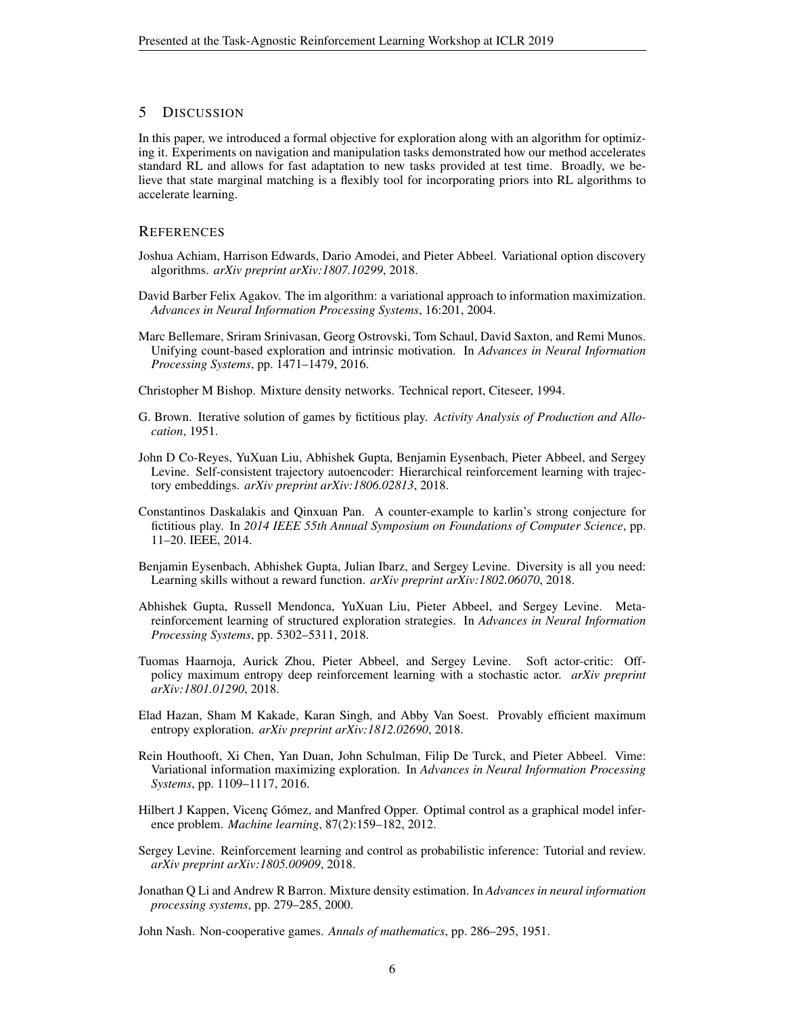# 5 DISCUSSION

In this paper, we introduced a formal objective for exploration along with an algorithm for optimizing it. Experiments on navigation and manipulation tasks demonstrated how our method accelerates standard RL and allows for fast adaptation to new tasks provided at test time. Broadly, we believe that state marginal matching is a flexibly tool for incorporating priors into RL algorithms to accelerate learning.

# **REFERENCES**

- <span id="page-5-9"></span>Joshua Achiam, Harrison Edwards, Dario Amodei, and Pieter Abbeel. Variational option discovery algorithms. *arXiv preprint arXiv:1807.10299*, 2018.
- <span id="page-5-12"></span>David Barber Felix Agakov. The im algorithm: a variational approach to information maximization. *Advances in Neural Information Processing Systems*, 16:201, 2004.
- <span id="page-5-1"></span>Marc Bellemare, Sriram Srinivasan, Georg Ostrovski, Tom Schaul, David Saxton, and Remi Munos. Unifying count-based exploration and intrinsic motivation. In *Advances in Neural Information Processing Systems*, pp. 1471–1479, 2016.

<span id="page-5-8"></span>Christopher M Bishop. Mixture density networks. Technical report, Citeseer, 1994.

- <span id="page-5-14"></span>G. Brown. Iterative solution of games by fictitious play. *Activity Analysis of Production and Allocation*, 1951.
- <span id="page-5-11"></span>John D Co-Reyes, YuXuan Liu, Abhishek Gupta, Benjamin Eysenbach, Pieter Abbeel, and Sergey Levine. Self-consistent trajectory autoencoder: Hierarchical reinforcement learning with trajectory embeddings. *arXiv preprint arXiv:1806.02813*, 2018.
- <span id="page-5-15"></span>Constantinos Daskalakis and Qinxuan Pan. A counter-example to karlin's strong conjecture for fictitious play. In *2014 IEEE 55th Annual Symposium on Foundations of Computer Science*, pp. 11–20. IEEE, 2014.
- <span id="page-5-10"></span>Benjamin Eysenbach, Abhishek Gupta, Julian Ibarz, and Sergey Levine. Diversity is all you need: Learning skills without a reward function. *arXiv preprint arXiv:1802.06070*, 2018.
- <span id="page-5-2"></span>Abhishek Gupta, Russell Mendonca, YuXuan Liu, Pieter Abbeel, and Sergey Levine. Metareinforcement learning of structured exploration strategies. In *Advances in Neural Information Processing Systems*, pp. 5302–5311, 2018.
- <span id="page-5-4"></span>Tuomas Haarnoja, Aurick Zhou, Pieter Abbeel, and Sergey Levine. Soft actor-critic: Offpolicy maximum entropy deep reinforcement learning with a stochastic actor. *arXiv preprint arXiv:1801.01290*, 2018.
- <span id="page-5-3"></span>Elad Hazan, Sham M Kakade, Karan Singh, and Abby Van Soest. Provably efficient maximum entropy exploration. *arXiv preprint arXiv:1812.02690*, 2018.
- <span id="page-5-0"></span>Rein Houthooft, Xi Chen, Yan Duan, John Schulman, Filip De Turck, and Pieter Abbeel. Vime: Variational information maximizing exploration. In *Advances in Neural Information Processing Systems*, pp. 1109–1117, 2016.
- <span id="page-5-5"></span>Hilbert J Kappen, Vicenç Gómez, and Manfred Opper. Optimal control as a graphical model inference problem. *Machine learning*, 87(2):159–182, 2012.
- <span id="page-5-6"></span>Sergey Levine. Reinforcement learning and control as probabilistic inference: Tutorial and review. *arXiv preprint arXiv:1805.00909*, 2018.
- <span id="page-5-7"></span>Jonathan Q Li and Andrew R Barron. Mixture density estimation. In *Advances in neural information processing systems*, pp. 279–285, 2000.

<span id="page-5-13"></span>John Nash. Non-cooperative games. *Annals of mathematics*, pp. 286–295, 1951.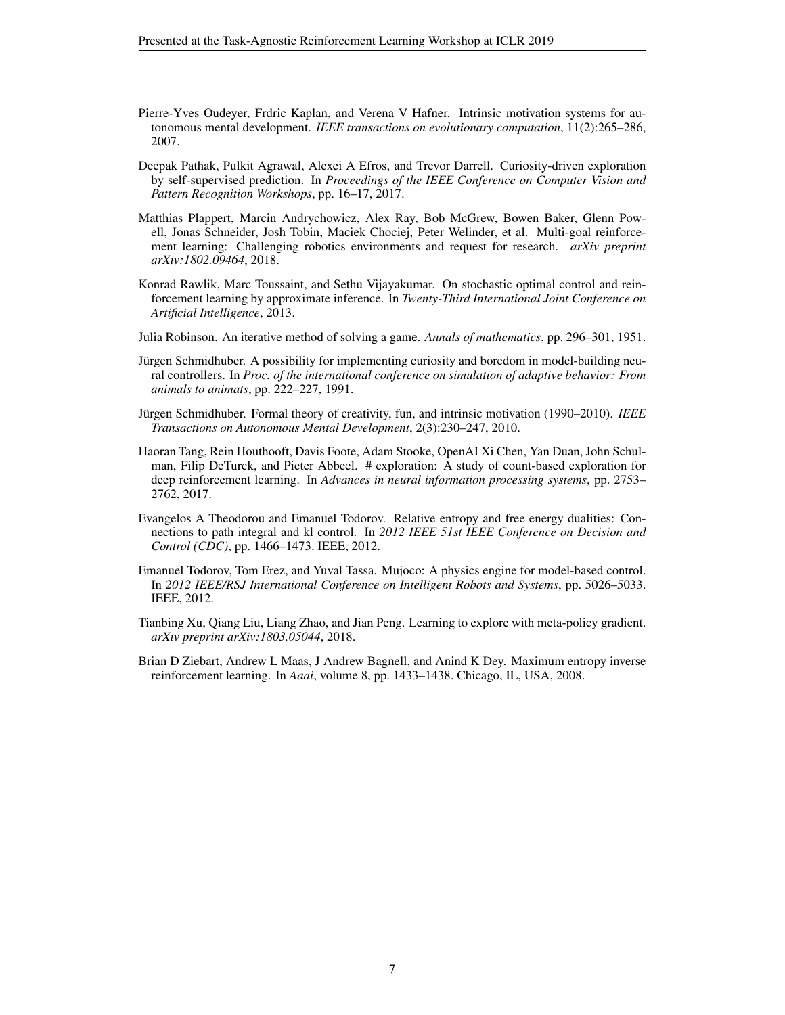- <span id="page-6-1"></span>Pierre-Yves Oudeyer, Frdric Kaplan, and Verena V Hafner. Intrinsic motivation systems for autonomous mental development. *IEEE transactions on evolutionary computation*, 11(2):265–286, 2007.
- <span id="page-6-0"></span>Deepak Pathak, Pulkit Agrawal, Alexei A Efros, and Trevor Darrell. Curiosity-driven exploration by self-supervised prediction. In *Proceedings of the IEEE Conference on Computer Vision and Pattern Recognition Workshops*, pp. 16–17, 2017.
- <span id="page-6-10"></span>Matthias Plappert, Marcin Andrychowicz, Alex Ray, Bob McGrew, Bowen Baker, Glenn Powell, Jonas Schneider, Josh Tobin, Maciek Chociej, Peter Welinder, et al. Multi-goal reinforcement learning: Challenging robotics environments and request for research. *arXiv preprint arXiv:1802.09464*, 2018.
- <span id="page-6-6"></span>Konrad Rawlik, Marc Toussaint, and Sethu Vijayakumar. On stochastic optimal control and reinforcement learning by approximate inference. In *Twenty-Third International Joint Conference on Artificial Intelligence*, 2013.
- <span id="page-6-11"></span>Julia Robinson. An iterative method of solving a game. *Annals of mathematics*, pp. 296–301, 1951.
- <span id="page-6-2"></span>Jürgen Schmidhuber. A possibility for implementing curiosity and boredom in model-building neural controllers. In *Proc. of the international conference on simulation of adaptive behavior: From animals to animats*, pp. 222–227, 1991.
- <span id="page-6-4"></span>Jürgen Schmidhuber. Formal theory of creativity, fun, and intrinsic motivation (1990–2010). *IEEE Transactions on Autonomous Mental Development*, 2(3):230–247, 2010.
- <span id="page-6-3"></span>Haoran Tang, Rein Houthooft, Davis Foote, Adam Stooke, OpenAI Xi Chen, Yan Duan, John Schulman, Filip DeTurck, and Pieter Abbeel. # exploration: A study of count-based exploration for deep reinforcement learning. In *Advances in neural information processing systems*, pp. 2753– 2762, 2017.
- <span id="page-6-8"></span>Evangelos A Theodorou and Emanuel Todorov. Relative entropy and free energy dualities: Connections to path integral and kl control. In *2012 IEEE 51st IEEE Conference on Decision and Control (CDC)*, pp. 1466–1473. IEEE, 2012.
- <span id="page-6-9"></span>Emanuel Todorov, Tom Erez, and Yuval Tassa. Mujoco: A physics engine for model-based control. In *2012 IEEE/RSJ International Conference on Intelligent Robots and Systems*, pp. 5026–5033. IEEE, 2012.
- <span id="page-6-5"></span>Tianbing Xu, Qiang Liu, Liang Zhao, and Jian Peng. Learning to explore with meta-policy gradient. *arXiv preprint arXiv:1803.05044*, 2018.
- <span id="page-6-7"></span>Brian D Ziebart, Andrew L Maas, J Andrew Bagnell, and Anind K Dey. Maximum entropy inverse reinforcement learning. In *Aaai*, volume 8, pp. 1433–1438. Chicago, IL, USA, 2008.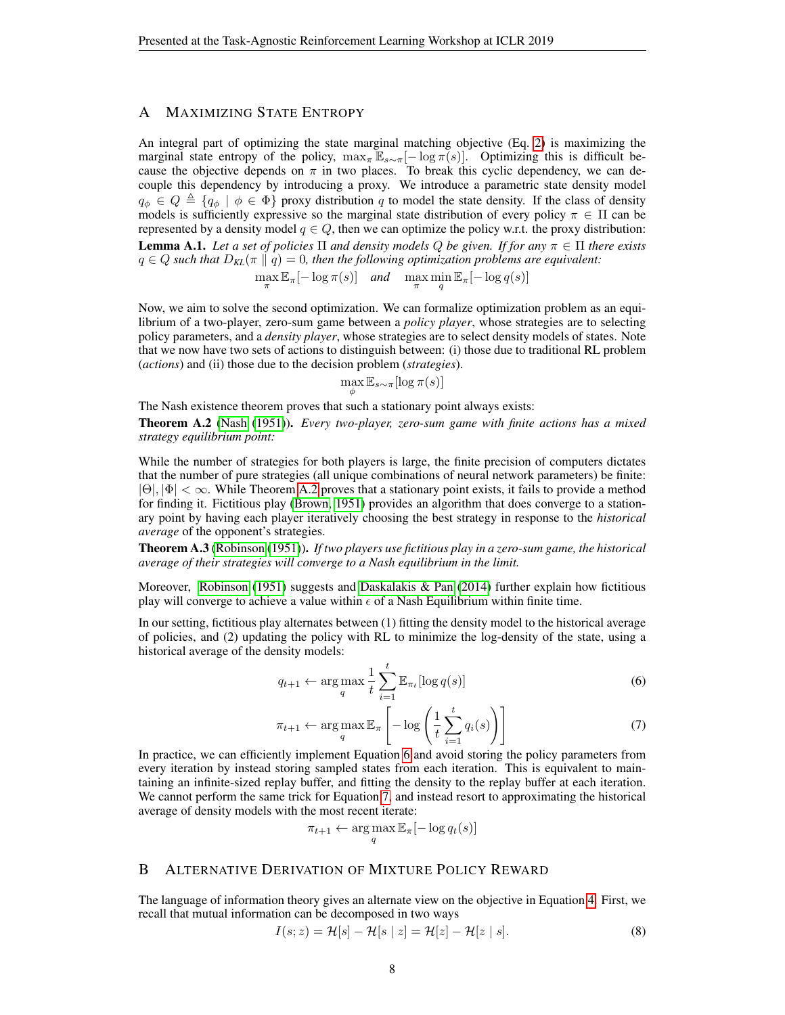# <span id="page-7-0"></span>A MAXIMIZING STATE ENTROPY

An integral part of optimizing the state marginal matching objective (Eq. [2\)](#page-2-1) is maximizing the marginal state entropy of the policy,  $\max_{\pi} \mathbb{E}_{s \sim \pi}[-\log \pi(s)]$ . Optimizing this is difficult because the objective depends on  $\pi$  in two places. To break this cyclic dependency, we can decouple this dependency by introducing a proxy. We introduce a parametric state density model  $q_{\phi} \in Q \triangleq \{q_{\phi} \mid \phi \in \Phi\}$  proxy distribution q to model the state density. If the class of density models is sufficiently expressive so the marginal state distribution of every policy  $\pi \in \Pi$  can be represented by a density model  $q \in Q$ , then we can optimize the policy w.r.t. the proxy distribution: **Lemma A.1.** Let a set of policies  $\Pi$  and density models Q be given. If for any  $\pi \in \Pi$  there exists  $q \in Q$  such that  $D_{KL}(\pi || q) = 0$ , then the following optimization problems are equivalent:

 $\max_{\pi} \mathbb{E}_{\pi}[-\log \pi(s)]$  *and*  $\max_{\pi} \min_{q} \mathbb{E}_{\pi}[-\log q(s)]$ 

Now, we aim to solve the second optimization. We can formalize optimization problem as an equilibrium of a two-player, zero-sum game between a *policy player*, whose strategies are to selecting policy parameters, and a *density player*, whose strategies are to select density models of states. Note that we now have two sets of actions to distinguish between: (i) those due to traditional RL problem (*actions*) and (ii) those due to the decision problem (*strategies*).

$$
\max_{\phi} \mathbb{E}_{s \sim \pi} [\log \pi(s)]
$$

The Nash existence theorem proves that such a stationary point always exists:

<span id="page-7-1"></span>Theorem A.2 [\(Nash](#page-5-13) [\(1951\)](#page-5-13)). *Every two-player, zero-sum game with finite actions has a mixed strategy equilibrium point:*

While the number of strategies for both players is large, the finite precision of computers dictates that the number of pure strategies (all unique combinations of neural network parameters) be finite:  $|\Theta|, |\Phi| < \infty$ . While Theorem [A.2](#page-7-1) proves that a stationary point exists, it fails to provide a method for finding it. Fictitious play [\(Brown, 1951\)](#page-5-14) provides an algorithm that does converge to a stationary point by having each player iteratively choosing the best strategy in response to the *historical average* of the opponent's strategies.

Theorem A.3 [\(Robinson](#page-6-11) [\(1951\)](#page-6-11)). *If two players use fictitious play in a zero-sum game, the historical average of their strategies will converge to a Nash equilibrium in the limit.*

Moreover, [Robinson](#page-6-11) [\(1951\)](#page-6-11) suggests and [Daskalakis & Pan](#page-5-15)  $(2014)$  further explain how fictitious play will converge to achieve a value within  $\epsilon$  of a Nash Equilibrium within finite time.

In our setting, fictitious play alternates between (1) fitting the density model to the historical average of policies, and (2) updating the policy with RL to minimize the log-density of the state, using a historical average of the density models:

<span id="page-7-2"></span>
$$
q_{t+1} \leftarrow \arg\max_{q} \frac{1}{t} \sum_{i=1}^{t} \mathbb{E}_{\pi_t}[\log q(s)] \tag{6}
$$

$$
\pi_{t+1} \leftarrow \argmax_{q} \mathbb{E}_{\pi} \left[ -\log \left( \frac{1}{t} \sum_{i=1}^{t} q_i(s) \right) \right] \tag{7}
$$

In practice, we can efficiently implement Equation [6](#page-7-2) and avoid storing the policy parameters from every iteration by instead storing sampled states from each iteration. This is equivalent to maintaining an infinite-sized replay buffer, and fitting the density to the replay buffer at each iteration. We cannot perform the same trick for Equation [7,](#page-7-3) and instead resort to approximating the historical average of density models with the most recent iterate:

<span id="page-7-3"></span>
$$
\pi_{t+1} \leftarrow \argmax_{q} \mathbb{E}_{\pi}[-\log q_t(s)]
$$

## B ALTERNATIVE DERIVATION OF MIXTURE POLICY REWARD

The language of information theory gives an alternate view on the objective in Equation [4.](#page-2-0) First, we recall that mutual information can be decomposed in two ways

$$
I(s; z) = \mathcal{H}[s] - \mathcal{H}[s | z] = \mathcal{H}[z] - \mathcal{H}[z | s].
$$
\n
$$
(8)
$$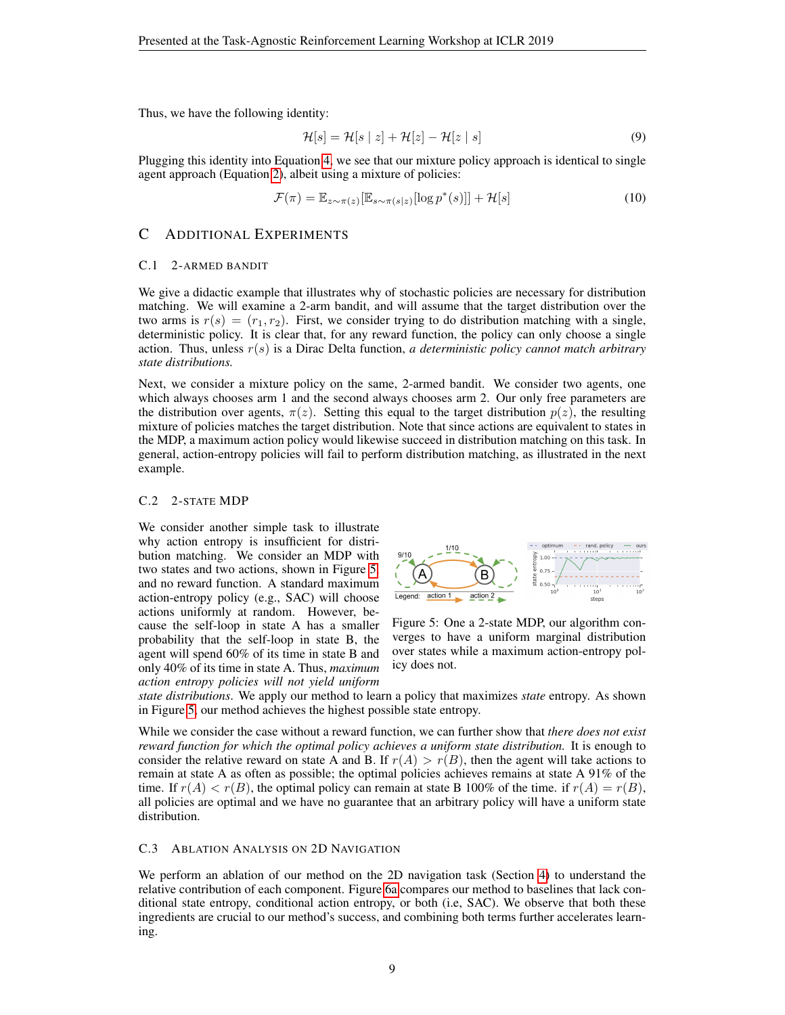Thus, we have the following identity:

$$
\mathcal{H}[s] = \mathcal{H}[s \mid z] + \mathcal{H}[z] - \mathcal{H}[z \mid s]
$$
\n(9)

Plugging this identity into Equation [4,](#page-2-0) we see that our mixture policy approach is identical to single agent approach (Equation [2\)](#page-2-1), albeit using a mixture of policies:

$$
\mathcal{F}(\pi) = \mathbb{E}_{z \sim \pi(z)}[\mathbb{E}_{s \sim \pi(s|z)}[\log p^*(s)]] + \mathcal{H}[s]
$$
\n(10)

## C ADDITIONAL EXPERIMENTS

#### <span id="page-8-0"></span>C.1 2-ARMED BANDIT

We give a didactic example that illustrates why of stochastic policies are necessary for distribution matching. We will examine a 2-arm bandit, and will assume that the target distribution over the two arms is  $r(s) = (r_1, r_2)$ . First, we consider trying to do distribution matching with a single, deterministic policy. It is clear that, for any reward function, the policy can only choose a single action. Thus, unless r(s) is a Dirac Delta function, *a deterministic policy cannot match arbitrary state distributions.*

Next, we consider a mixture policy on the same, 2-armed bandit. We consider two agents, one which always chooses arm 1 and the second always chooses arm 2. Our only free parameters are the distribution over agents,  $\pi(z)$ . Setting this equal to the target distribution  $p(z)$ , the resulting mixture of policies matches the target distribution. Note that since actions are equivalent to states in the MDP, a maximum action policy would likewise succeed in distribution matching on this task. In general, action-entropy policies will fail to perform distribution matching, as illustrated in the next example.

## C.2 2-STATE MDP

We consider another simple task to illustrate why action entropy is insufficient for distribution matching. We consider an MDP with two states and two actions, shown in Figure [5,](#page-8-1) and no reward function. A standard maximum action-entropy policy (e.g., SAC) will choose actions uniformly at random. However, because the self-loop in state A has a smaller probability that the self-loop in state B, the agent will spend 60% of its time in state B and only 40% of its time in state A. Thus, *maximum action entropy policies will not yield uniform*

<span id="page-8-1"></span>

Figure 5: One a 2-state MDP, our algorithm converges to have a uniform marginal distribution over states while a maximum action-entropy policy does not.

*state distributions*. We apply our method to learn a policy that maximizes *state* entropy. As shown in Figure [5,](#page-8-1) our method achieves the highest possible state entropy.

While we consider the case without a reward function, we can further show that *there does not exist reward function for which the optimal policy achieves a uniform state distribution.* It is enough to consider the relative reward on state A and B. If  $r(A) > r(B)$ , then the agent will take actions to remain at state A as often as possible; the optimal policies achieves remains at state A 91% of the time. If  $r(A) < r(B)$ , the optimal policy can remain at state B 100% of the time. if  $r(A) = r(B)$ , all policies are optimal and we have no guarantee that an arbitrary policy will have a uniform state distribution.

#### C.3 ABLATION ANALYSIS ON 2D NAVIGATION

We perform an ablation of our method on the 2D navigation task (Section [4\)](#page-3-0) to understand the relative contribution of each component. Figure [6a](#page-9-0) compares our method to baselines that lack conditional state entropy, conditional action entropy, or both (i.e, SAC). We observe that both these ingredients are crucial to our method's success, and combining both terms further accelerates learning.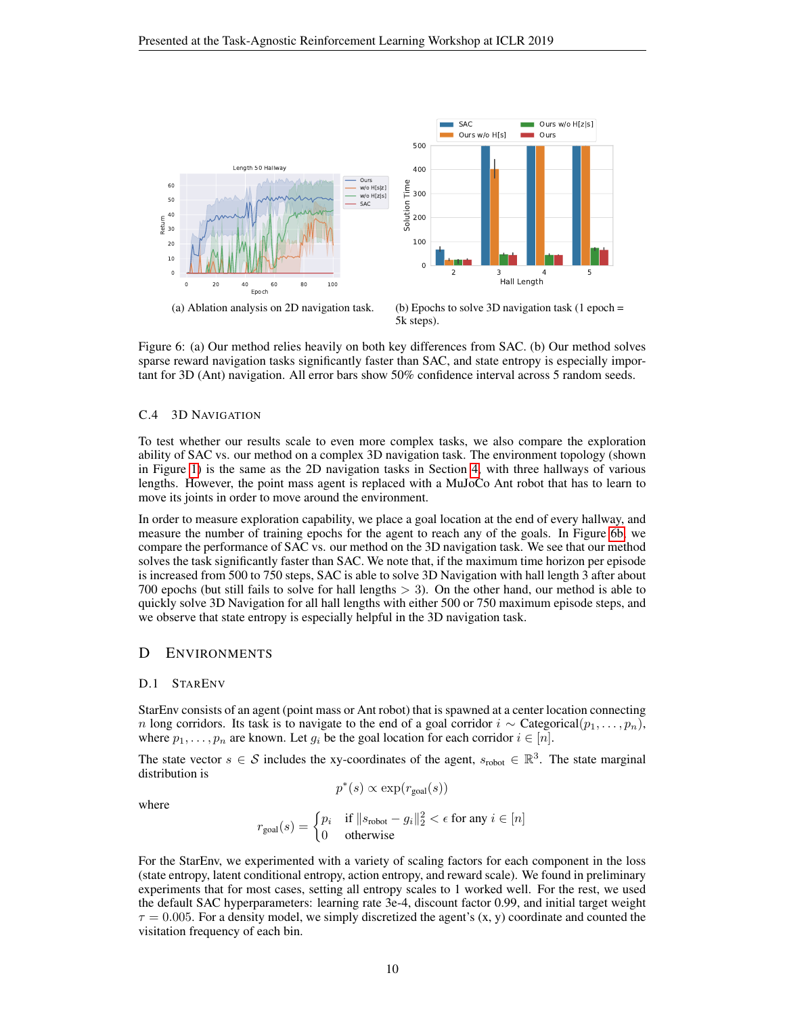<span id="page-9-0"></span>

Figure 6: (a) Our method relies heavily on both key differences from SAC. (b) Our method solves sparse reward navigation tasks significantly faster than SAC, and state entropy is especially important for 3D (Ant) navigation. All error bars show 50% confidence interval across 5 random seeds.

#### C.4 3D NAVIGATION

To test whether our results scale to even more complex tasks, we also compare the exploration ability of SAC vs. our method on a complex 3D navigation task. The environment topology (shown in Figure [1\)](#page-4-0) is the same as the 2D navigation tasks in Section [4,](#page-3-0) with three hallways of various lengths. However, the point mass agent is replaced with a MuJoCo Ant robot that has to learn to move its joints in order to move around the environment.

In order to measure exploration capability, we place a goal location at the end of every hallway, and measure the number of training epochs for the agent to reach any of the goals. In Figure [6b,](#page-9-0) we compare the performance of SAC vs. our method on the 3D navigation task. We see that our method solves the task significantly faster than SAC. We note that, if the maximum time horizon per episode is increased from 500 to 750 steps, SAC is able to solve 3D Navigation with hall length 3 after about 700 epochs (but still fails to solve for hall lengths  $>$  3). On the other hand, our method is able to quickly solve 3D Navigation for all hall lengths with either 500 or 750 maximum episode steps, and we observe that state entropy is especially helpful in the 3D navigation task.

## D ENVIRONMENTS

## D.1 STARENV

StarEnv consists of an agent (point mass or Ant robot) that is spawned at a center location connecting n long corridors. Its task is to navigate to the end of a goal corridor  $i \sim$  Categorical $(p_1, \ldots, p_n)$ , where  $p_1, \ldots, p_n$  are known. Let  $g_i$  be the goal location for each corridor  $i \in [n]$ .

The state vector  $s \in S$  includes the xy-coordinates of the agent,  $s_{\text{robot}} \in \mathbb{R}^3$ . The state marginal distribution is

$$
p^*(s) \propto \exp(r_{\text{goal}}(s))
$$

where

$$
r_{\text{goal}}(s) = \begin{cases} p_i & \text{if } \|s_{\text{robot}} - g_i\|_2^2 < \epsilon \text{ for any } i \in [n] \\ 0 & \text{otherwise} \end{cases}
$$

For the StarEnv, we experimented with a variety of scaling factors for each component in the loss (state entropy, latent conditional entropy, action entropy, and reward scale). We found in preliminary experiments that for most cases, setting all entropy scales to 1 worked well. For the rest, we used the default SAC hyperparameters: learning rate 3e-4, discount factor 0.99, and initial target weight  $\tau = 0.005$ . For a density model, we simply discretized the agent's  $(x, y)$  coordinate and counted the visitation frequency of each bin.